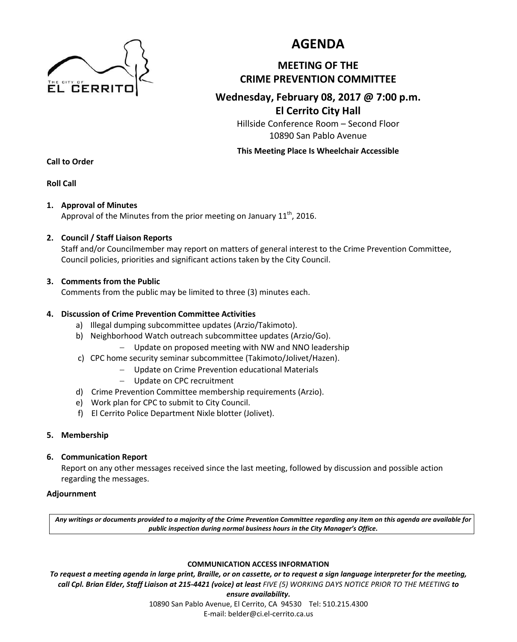

# **AGENDA**

## **MEETING OF THE CRIME PREVENTION COMMITTEE**

### **Wednesday, February 08, 2017 @ 7:00 p.m. El Cerrito City Hall**

Hillside Conference Room – Second Floor 10890 San Pablo Avenue

**This Meeting Place Is Wheelchair Accessible**

**Call to Order**

**Roll Call**

### **1. Approval of Minutes**

Approval of the Minutes from the prior meeting on January 11<sup>th</sup>, 2016.

### **2. Council / Staff Liaison Reports**

Staff and/or Councilmember may report on matters of general interest to the Crime Prevention Committee, Council policies, priorities and significant actions taken by the City Council.

### **3. Comments from the Public**

Comments from the public may be limited to three (3) minutes each.

### **4. Discussion of Crime Prevention Committee Activities**

- a) Illegal dumping subcommittee updates (Arzio/Takimoto).
- b) Neighborhood Watch outreach subcommittee updates (Arzio/Go).
	- Update on proposed meeting with NW and NNO leadership
- c) CPC home security seminar subcommittee (Takimoto/Jolivet/Hazen).
	- Update on Crime Prevention educational Materials
	- Update on CPC recruitment
- d) Crime Prevention Committee membership requirements (Arzio).
- e) Work plan for CPC to submit to City Council.
- f) El Cerrito Police Department Nixle blotter (Jolivet).

### **5. Membership**

### **6. Communication Report**

Report on any other messages received since the last meeting, followed by discussion and possible action regarding the messages.

### **Adjournment**

*Any writings or documents provided to a majority of the Crime Prevention Committee regarding any item on this agenda are available for public inspection during normal business hours in the City Manager's Office.*

#### **COMMUNICATION ACCESS INFORMATION**

*To request a meeting agenda in large print, Braille, or on cassette, or to request a sign language interpreter for the meeting, call Cpl. Brian Elder, Staff Liaison at 215-4421 (voice) at least FIVE (5) WORKING DAYS NOTICE PRIOR TO THE MEETING to* 

> *ensure availability.*  10890 San Pablo Avenue, El Cerrito, CA 94530 Tel: 510.215.4300 E-mail: belder@ci.el-cerrito.ca.us